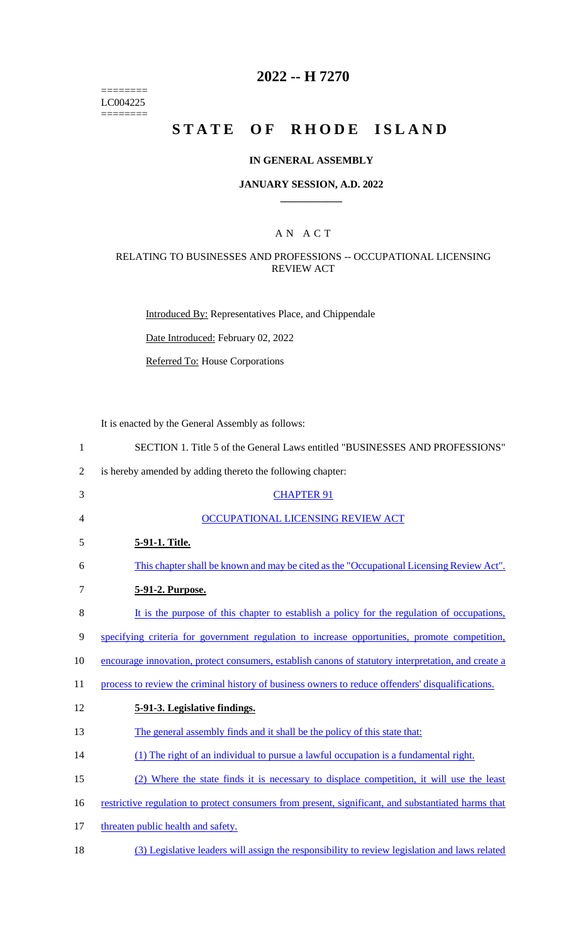======== LC004225  $=$ 

## **2022 -- H 7270**

# **STATE OF RHODE ISLAND**

## **IN GENERAL ASSEMBLY**

#### **JANUARY SESSION, A.D. 2022 \_\_\_\_\_\_\_\_\_\_\_\_**

## A N A C T

## RELATING TO BUSINESSES AND PROFESSIONS -- OCCUPATIONAL LICENSING REVIEW ACT

Introduced By: Representatives Place, and Chippendale

Date Introduced: February 02, 2022

Referred To: House Corporations

It is enacted by the General Assembly as follows:

| $\mathbf{1}$   | SECTION 1. Title 5 of the General Laws entitled "BUSINESSES AND PROFESSIONS"                        |
|----------------|-----------------------------------------------------------------------------------------------------|
| $\overline{2}$ | is hereby amended by adding thereto the following chapter:                                          |
| 3              | <b>CHAPTER 91</b>                                                                                   |
| 4              | OCCUPATIONAL LICENSING REVIEW ACT                                                                   |
| 5              | 5-91-1. Title.                                                                                      |
| 6              | This chapter shall be known and may be cited as the "Occupational Licensing Review Act".            |
| 7              | 5-91-2. Purpose.                                                                                    |
| $8\,$          | It is the purpose of this chapter to establish a policy for the regulation of occupations,          |
| 9              | specifying criteria for government regulation to increase opportunities, promote competition,       |
| 10             | encourage innovation, protect consumers, establish canons of statutory interpretation, and create a |
| 11             | process to review the criminal history of business owners to reduce offenders' disqualifications.   |
| 12             | 5-91-3. Legislative findings.                                                                       |
| 13             | The general assembly finds and it shall be the policy of this state that:                           |
| 14             | (1) The right of an individual to pursue a lawful occupation is a fundamental right.                |
| 15             | (2) Where the state finds it is necessary to displace competition, it will use the least            |
| 16             | restrictive regulation to protect consumers from present, significant, and substantiated harms that |
| 17             | threaten public health and safety.                                                                  |
| 18             | (3) Legislative leaders will assign the responsibility to review legislation and laws related       |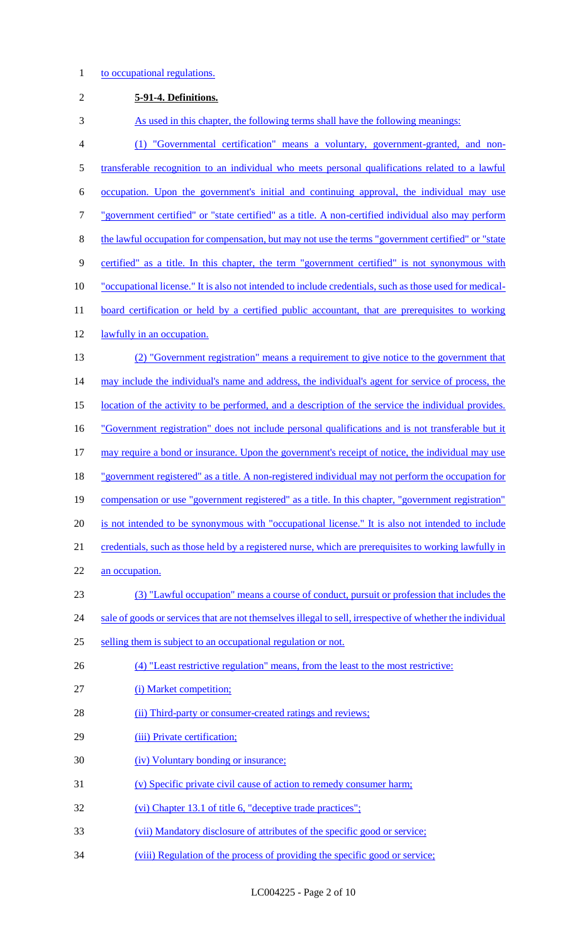## 1 to occupational regulations.

| $\mathbf{2}$   | 5-91-4. Definitions.                                                                                      |
|----------------|-----------------------------------------------------------------------------------------------------------|
| 3              | As used in this chapter, the following terms shall have the following meanings:                           |
| $\overline{4}$ | (1) "Governmental certification" means a voluntary, government-granted, and non-                          |
| 5              | transferable recognition to an individual who meets personal qualifications related to a lawful           |
| 6              | occupation. Upon the government's initial and continuing approval, the individual may use                 |
| $\tau$         | "government certified" or "state certified" as a title. A non-certified individual also may perform       |
| $8\,$          | the lawful occupation for compensation, but may not use the terms "government certified" or "state"       |
| 9              | certified" as a title. In this chapter, the term "government certified" is not synonymous with            |
| 10             | "occupational license." It is also not intended to include credentials, such as those used for medical-   |
| 11             | board certification or held by a certified public accountant, that are prerequisites to working           |
| 12             | lawfully in an occupation.                                                                                |
| 13             | (2) "Government registration" means a requirement to give notice to the government that                   |
| 14             | may include the individual's name and address, the individual's agent for service of process, the         |
| 15             | location of the activity to be performed, and a description of the service the individual provides.       |
| 16             | "Government registration" does not include personal qualifications and is not transferable but it         |
| 17             | may require a bond or insurance. Upon the government's receipt of notice, the individual may use          |
| 18             | "government registered" as a title. A non-registered individual may not perform the occupation for        |
| 19             | compensation or use "government registered" as a title. In this chapter, "government registration"        |
| 20             | is not intended to be synonymous with "occupational license." It is also not intended to include          |
| 21             | credentials, such as those held by a registered nurse, which are prerequisites to working lawfully in     |
| 22             | an occupation.                                                                                            |
| 23             | (3) "Lawful occupation" means a course of conduct, pursuit or profession that includes the                |
| 24             | sale of goods or services that are not themselves illegal to sell, irrespective of whether the individual |
| 25             | selling them is subject to an occupational regulation or not.                                             |
| 26             | (4) "Least restrictive regulation" means, from the least to the most restrictive:                         |
| 27             | (i) Market competition;                                                                                   |
| 28             | (ii) Third-party or consumer-created ratings and reviews;                                                 |
| 29             | (iii) Private certification;                                                                              |
| 30             | (iv) Voluntary bonding or insurance;                                                                      |
| 31             | (v) Specific private civil cause of action to remedy consumer harm;                                       |
| 32             | (vi) Chapter 13.1 of title 6, "deceptive trade practices";                                                |
| 33             | (vii) Mandatory disclosure of attributes of the specific good or service;                                 |
| 34             | (viii) Regulation of the process of providing the specific good or service;                               |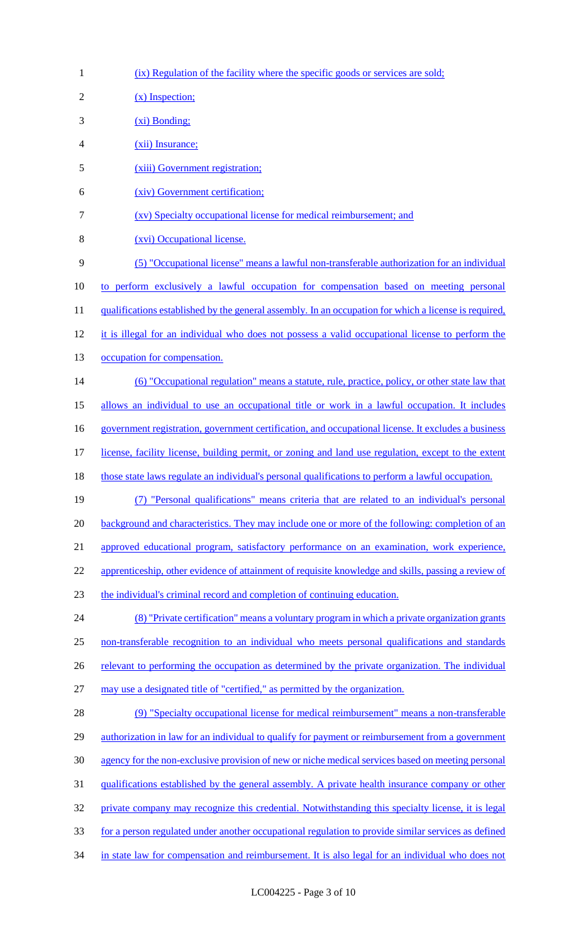| $\mathbf{1}$   | (ix) Regulation of the facility where the specific goods or services are sold;                         |
|----------------|--------------------------------------------------------------------------------------------------------|
| $\overline{2}$ | $(x)$ Inspection;                                                                                      |
| 3              | $(x_i)$ Bonding;                                                                                       |
| $\overline{4}$ | (xii) Insurance;                                                                                       |
| 5              | (xiii) Government registration;                                                                        |
| 6              | (xiv) Government certification;                                                                        |
| 7              | (xv) Specialty occupational license for medical reimbursement; and                                     |
| 8              | (xvi) Occupational license.                                                                            |
| 9              | (5) "Occupational license" means a lawful non-transferable authorization for an individual             |
| 10             | to perform exclusively a lawful occupation for compensation based on meeting personal                  |
| 11             | qualifications established by the general assembly. In an occupation for which a license is required,  |
| 12             | it is illegal for an individual who does not possess a valid occupational license to perform the       |
| 13             | occupation for compensation.                                                                           |
| 14             | (6) "Occupational regulation" means a statute, rule, practice, policy, or other state law that         |
| 15             | allows an individual to use an occupational title or work in a lawful occupation. It includes          |
| 16             | government registration, government certification, and occupational license. It excludes a business    |
| 17             | license, facility license, building permit, or zoning and land use regulation, except to the extent    |
| 18             | those state laws regulate an individual's personal qualifications to perform a lawful occupation.      |
| 19             | "Personal qualifications" means criteria that are related to an individual's personal                  |
| 20             | background and characteristics. They may include one or more of the following: completion of an        |
| 21             | approved educational program, satisfactory performance on an examination, work experience,             |
| 22             | apprenticeship, other evidence of attainment of requisite knowledge and skills, passing a review of    |
| 23             | the individual's criminal record and completion of continuing education.                               |
| 24             | (8) "Private certification" means a voluntary program in which a private organization grants           |
| 25             | non-transferable recognition to an individual who meets personal qualifications and standards          |
| 26             | relevant to performing the occupation as determined by the private organization. The individual        |
| 27             | may use a designated title of "certified," as permitted by the organization.                           |
| 28             | (9) "Specialty occupational license for medical reimbursement" means a non-transferable                |
| 29             | authorization in law for an individual to qualify for payment or reimbursement from a government       |
| 30             | agency for the non-exclusive provision of new or niche medical services based on meeting personal      |
| 31             | <u>qualifications established by the general assembly. A private health insurance company or other</u> |
| 32             | private company may recognize this credential. Notwithstanding this specialty license, it is legal     |
| 33             | for a person regulated under another occupational regulation to provide similar services as defined    |
| 34             | in state law for compensation and reimbursement. It is also legal for an individual who does not       |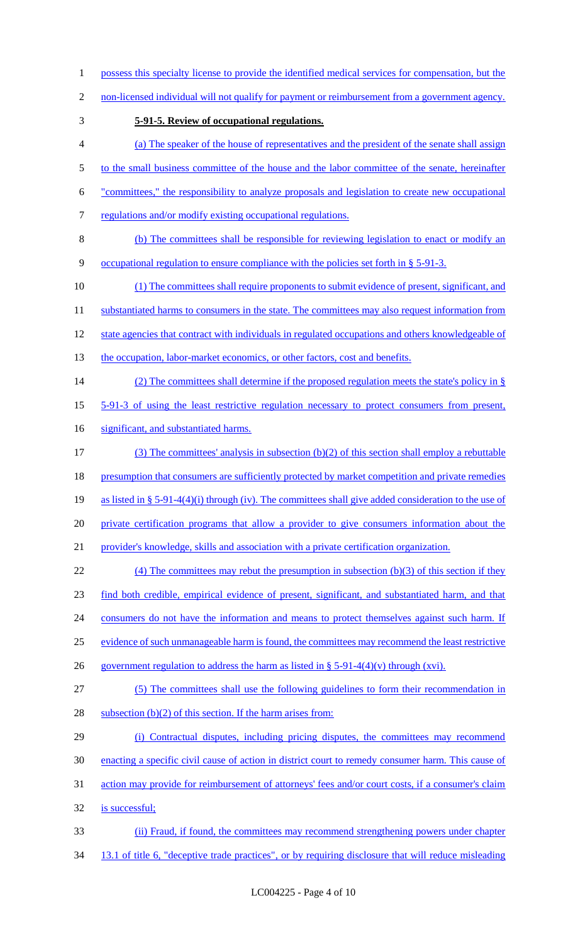- possess this specialty license to provide the identified medical services for compensation, but the
- 2 non-licensed individual will not qualify for payment or reimbursement from a government agency.
- **5-91-5. Review of occupational regulations.**
- (a) The speaker of the house of representatives and the president of the senate shall assign 5 to the small business committee of the house and the labor committee of the senate, hereinafter "committees," the responsibility to analyze proposals and legislation to create new occupational
- 
- 7 regulations and/or modify existing occupational regulations.
- (b) The committees shall be responsible for reviewing legislation to enact or modify an occupational regulation to ensure compliance with the policies set forth in § 5-91-3.
- (1) The committees shall require proponents to submit evidence of present, significant, and
- 11 substantiated harms to consumers in the state. The committees may also request information from
- state agencies that contract with individuals in regulated occupations and others knowledgeable of
- 13 the occupation, labor-market economics, or other factors, cost and benefits.
- (2) The committees shall determine if the proposed regulation meets the state's policy in §
- 5-91-3 of using the least restrictive regulation necessary to protect consumers from present,
- 16 significant, and substantiated harms.
- (3) The committees' analysis in subsection (b)(2) of this section shall employ a rebuttable 18 presumption that consumers are sufficiently protected by market competition and private remedies as listed in § 5-91-4(4)(i) through (iv). The committees shall give added consideration to the use of private certification programs that allow a provider to give consumers information about the provider's knowledge, skills and association with a private certification organization.
- 22 (4) The committees may rebut the presumption in subsection (b)(3) of this section if they find both credible, empirical evidence of present, significant, and substantiated harm, and that
- 24 consumers do not have the information and means to protect themselves against such harm. If
- evidence of such unmanageable harm is found, the committees may recommend the least restrictive
- 26 government regulation to address the harm as listed in  $\S$  5-91-4(4)(v) through (xvi).
- (5) The committees shall use the following guidelines to form their recommendation in
- 28 subsection  $(b)(2)$  of this section. If the harm arises from:
- (i) Contractual disputes, including pricing disputes, the committees may recommend enacting a specific civil cause of action in district court to remedy consumer harm. This cause of action may provide for reimbursement of attorneys' fees and/or court costs, if a consumer's claim is successful;
- (ii) Fraud, if found, the committees may recommend strengthening powers under chapter
- 34 13.1 of title 6, "deceptive trade practices", or by requiring disclosure that will reduce misleading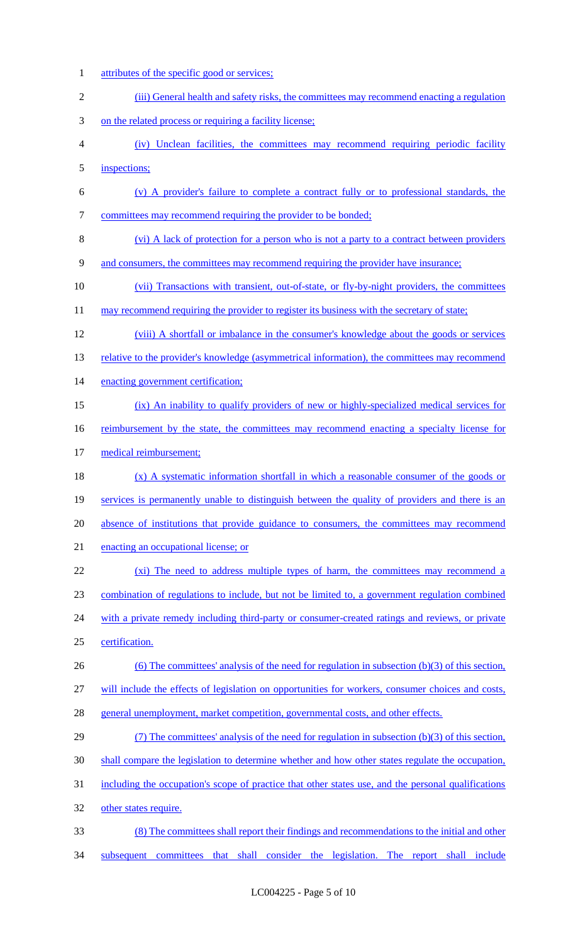attributes of the specific good or services; 2 (iii) General health and safety risks, the committees may recommend enacting a regulation on the related process or requiring a facility license; (iv) Unclean facilities, the committees may recommend requiring periodic facility inspections; (v) A provider's failure to complete a contract fully or to professional standards, the 7 committees may recommend requiring the provider to be bonded; (vi) A lack of protection for a person who is not a party to a contract between providers and consumers, the committees may recommend requiring the provider have insurance; (vii) Transactions with transient, out-of-state, or fly-by-night providers, the committees 11 may recommend requiring the provider to register its business with the secretary of state; (viii) A shortfall or imbalance in the consumer's knowledge about the goods or services 13 relative to the provider's knowledge (asymmetrical information), the committees may recommend 14 enacting government certification; (ix) An inability to qualify providers of new or highly-specialized medical services for 16 reimbursement by the state, the committees may recommend enacting a specialty license for medical reimbursement; (x) A systematic information shortfall in which a reasonable consumer of the goods or 19 services is permanently unable to distinguish between the quality of providers and there is an absence of institutions that provide guidance to consumers, the committees may recommend enacting an occupational license; or 22 (xi) The need to address multiple types of harm, the committees may recommend a combination of regulations to include, but not be limited to, a government regulation combined 24 with a private remedy including third-party or consumer-created ratings and reviews, or private certification. (6) The committees' analysis of the need for regulation in subsection (b)(3) of this section, will include the effects of legislation on opportunities for workers, consumer choices and costs, general unemployment, market competition, governmental costs, and other effects. (7) The committees' analysis of the need for regulation in subsection (b)(3) of this section, shall compare the legislation to determine whether and how other states regulate the occupation, including the occupation's scope of practice that other states use, and the personal qualifications other states require. (8) The committees shall report their findings and recommendations to the initial and other 34 subsequent committees that shall consider the legislation. The report shall include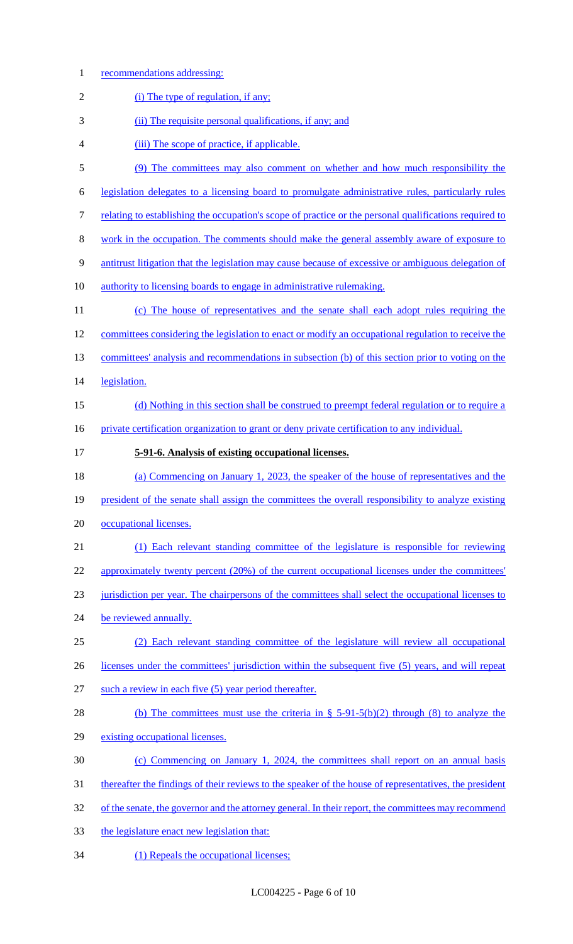1 recommendations addressing:

| $\overline{2}$ | (i) The type of regulation, if any;                                                                    |
|----------------|--------------------------------------------------------------------------------------------------------|
| 3              | (ii) The requisite personal qualifications, if any; and                                                |
| 4              | (iii) The scope of practice, if applicable.                                                            |
| 5              | (9) The committees may also comment on whether and how much responsibility the                         |
| 6              | legislation delegates to a licensing board to promulgate administrative rules, particularly rules      |
| 7              | relating to establishing the occupation's scope of practice or the personal qualifications required to |
| 8              | work in the occupation. The comments should make the general assembly aware of exposure to             |
| 9              | antitrust litigation that the legislation may cause because of excessive or ambiguous delegation of    |
| 10             | authority to licensing boards to engage in administrative rulemaking.                                  |
| 11             | (c) The house of representatives and the senate shall each adopt rules requiring the                   |
| 12             | committees considering the legislation to enact or modify an occupational regulation to receive the    |
| 13             | committees' analysis and recommendations in subsection (b) of this section prior to voting on the      |
| 14             | legislation.                                                                                           |
| 15             | (d) Nothing in this section shall be construed to preempt federal regulation or to require a           |
| 16             | private certification organization to grant or deny private certification to any individual.           |
| 17             | 5-91-6. Analysis of existing occupational licenses.                                                    |
| 18             | (a) Commencing on January 1, 2023, the speaker of the house of representatives and the                 |
| 19             | president of the senate shall assign the committees the overall responsibility to analyze existing     |
| 20             | occupational licenses.                                                                                 |
| 21             | (1) Each relevant standing committee of the legislature is responsible for reviewing                   |
| 22             | approximately twenty percent (20%) of the current occupational licenses under the committees'          |
| 23             | jurisdiction per year. The chairpersons of the committees shall select the occupational licenses to    |
| 24             | be reviewed annually.                                                                                  |
| 25             | (2) Each relevant standing committee of the legislature will review all occupational                   |
| 26             | licenses under the committees' jurisdiction within the subsequent five (5) years, and will repeat      |
| 27             | such a review in each five (5) year period thereafter.                                                 |
| 28             | (b) The committees must use the criteria in § 5-91-5(b)(2) through (8) to analyze the                  |
| 29             | existing occupational licenses.                                                                        |
|                | (c) Commencing on January 1, 2024, the committees shall report on an annual basis                      |
| 30             |                                                                                                        |
| 31             | thereafter the findings of their reviews to the speaker of the house of representatives, the president |
| 32             | of the senate, the governor and the attorney general. In their report, the committees may recommend    |
| 33             | the legislature enact new legislation that:                                                            |

34 (1) Repeals the occupational licenses;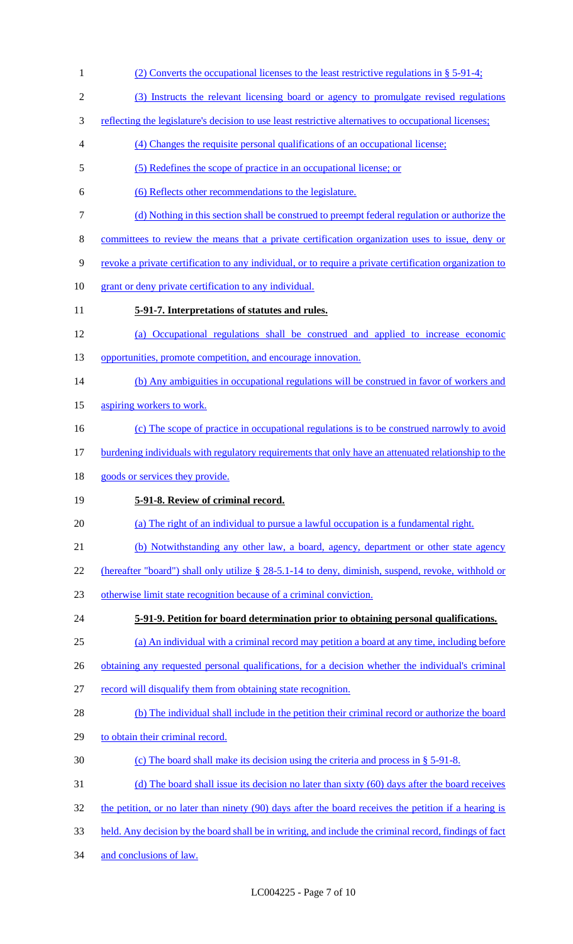(2) Converts the occupational licenses to the least restrictive regulations in § 5-91-4; (3) Instructs the relevant licensing board or agency to promulgate revised regulations 3 reflecting the legislature's decision to use least restrictive alternatives to occupational licenses; (4) Changes the requisite personal qualifications of an occupational license; (5) Redefines the scope of practice in an occupational license; or (6) Reflects other recommendations to the legislature. (d) Nothing in this section shall be construed to preempt federal regulation or authorize the committees to review the means that a private certification organization uses to issue, deny or revoke a private certification to any individual, or to require a private certification organization to 10 grant or deny private certification to any individual. **5-91-7. Interpretations of statutes and rules.**  (a) Occupational regulations shall be construed and applied to increase economic 13 opportunities, promote competition, and encourage innovation. 14 (b) Any ambiguities in occupational regulations will be construed in favor of workers and 15 aspiring workers to work. (c) The scope of practice in occupational regulations is to be construed narrowly to avoid burdening individuals with regulatory requirements that only have an attenuated relationship to the 18 goods or services they provide. **5-91-8. Review of criminal record.**  (a) The right of an individual to pursue a lawful occupation is a fundamental right. (b) Notwithstanding any other law, a board, agency, department or other state agency 22 (hereafter "board") shall only utilize § 28-5.1-14 to deny, diminish, suspend, revoke, withhold or otherwise limit state recognition because of a criminal conviction. **5-91-9. Petition for board determination prior to obtaining personal qualifications.**  (a) An individual with a criminal record may petition a board at any time, including before 26 obtaining any requested personal qualifications, for a decision whether the individual's criminal 27 record will disqualify them from obtaining state recognition. (b) The individual shall include in the petition their criminal record or authorize the board to obtain their criminal record. (c) The board shall make its decision using the criteria and process in § 5-91-8. (d) The board shall issue its decision no later than sixty (60) days after the board receives the petition, or no later than ninety (90) days after the board receives the petition if a hearing is held. Any decision by the board shall be in writing, and include the criminal record, findings of fact and conclusions of law.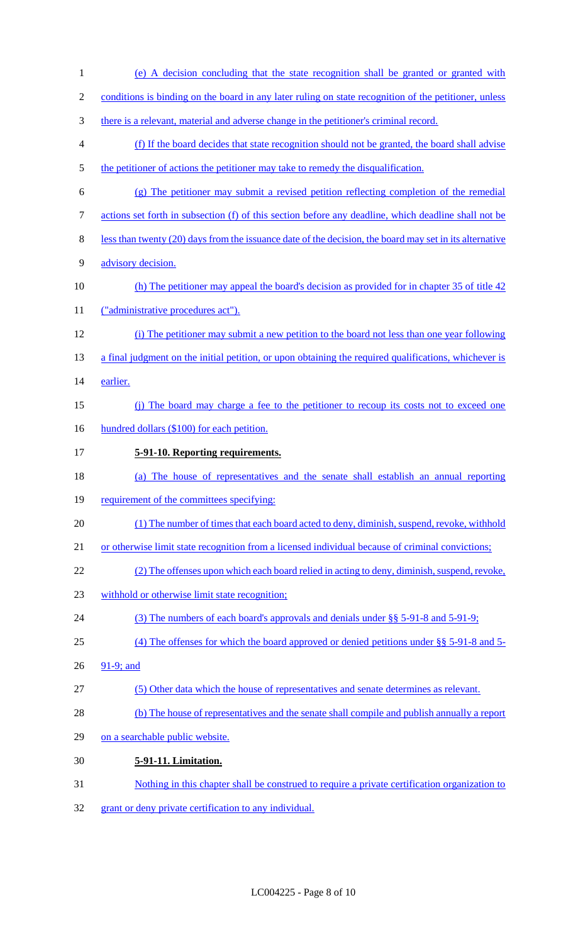- (e) A decision concluding that the state recognition shall be granted or granted with conditions is binding on the board in any later ruling on state recognition of the petitioner, unless there is a relevant, material and adverse change in the petitioner's criminal record. (f) If the board decides that state recognition should not be granted, the board shall advise 5 the petitioner of actions the petitioner may take to remedy the disqualification. (g) The petitioner may submit a revised petition reflecting completion of the remedial actions set forth in subsection (f) of this section before any deadline, which deadline shall not be less than twenty (20) days from the issuance date of the decision, the board may set in its alternative advisory decision. 10 (h) The petitioner may appeal the board's decision as provided for in chapter 35 of title 42 11 ("administrative procedures act"). (i) The petitioner may submit a new petition to the board not less than one year following 13 a final judgment on the initial petition, or upon obtaining the required qualifications, whichever is earlier. (j) The board may charge a fee to the petitioner to recoup its costs not to exceed one 16 hundred dollars (\$100) for each petition. **5-91-10. Reporting requirements.**  (a) The house of representatives and the senate shall establish an annual reporting 19 requirement of the committees specifying: (1) The number of times that each board acted to deny, diminish, suspend, revoke, withhold or otherwise limit state recognition from a licensed individual because of criminal convictions; (2) The offenses upon which each board relied in acting to deny, diminish, suspend, revoke, withhold or otherwise limit state recognition; (3) The numbers of each board's approvals and denials under §§ 5-91-8 and 5-91-9; (4) The offenses for which the board approved or denied petitions under §§ 5-91-8 and 5- 26 91-9; and (5) Other data which the house of representatives and senate determines as relevant. (b) The house of representatives and the senate shall compile and publish annually a report on a searchable public website. **5-91-11. Limitation.**  Nothing in this chapter shall be construed to require a private certification organization to
- grant or deny private certification to any individual.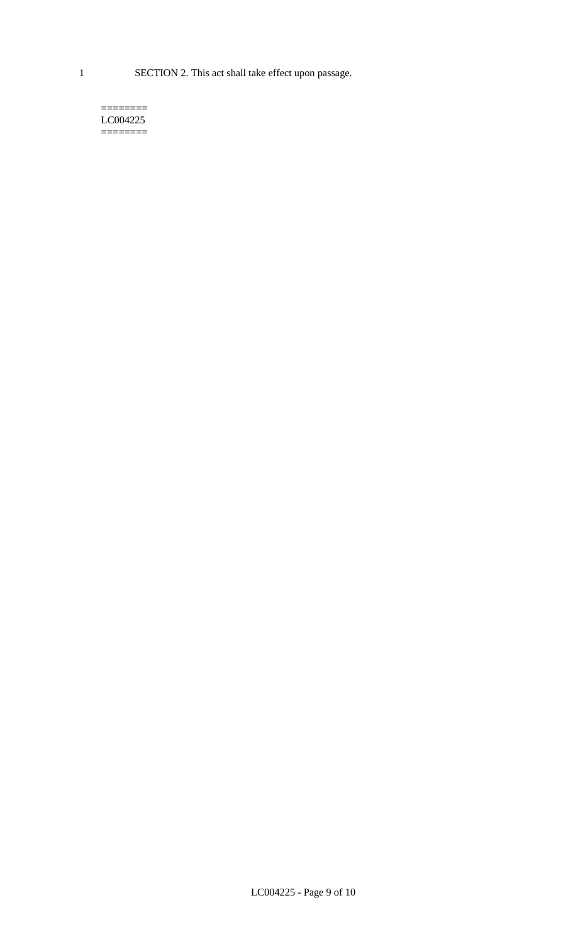1 SECTION 2. This act shall take effect upon passage.

#### $=$ LC004225  $=$